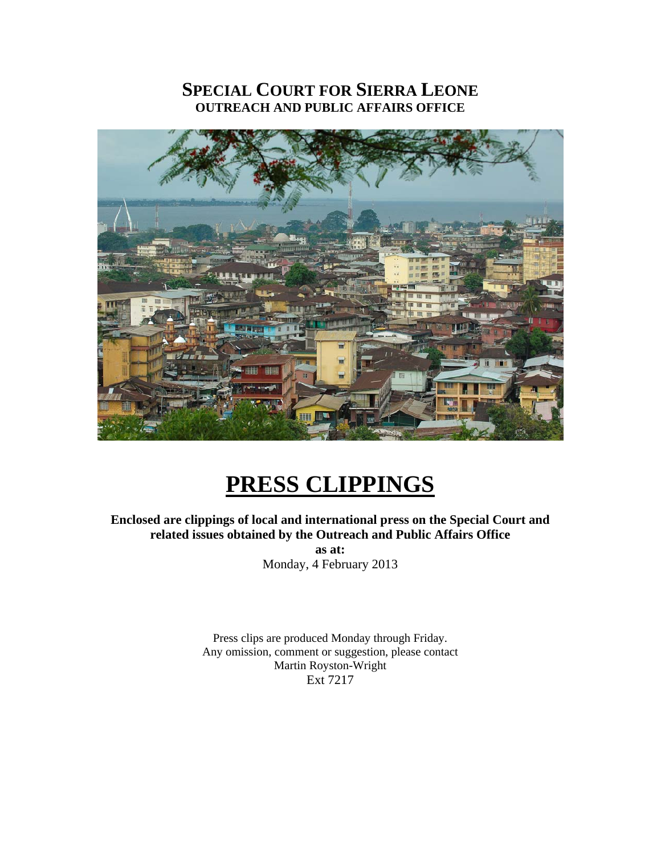# **SPECIAL COURT FOR SIERRA LEONE OUTREACH AND PUBLIC AFFAIRS OFFICE**



# **PRESS CLIPPINGS**

**Enclosed are clippings of local and international press on the Special Court and related issues obtained by the Outreach and Public Affairs Office as at:** 

Monday, 4 February 2013

Press clips are produced Monday through Friday. Any omission, comment or suggestion, please contact Martin Royston-Wright Ext 7217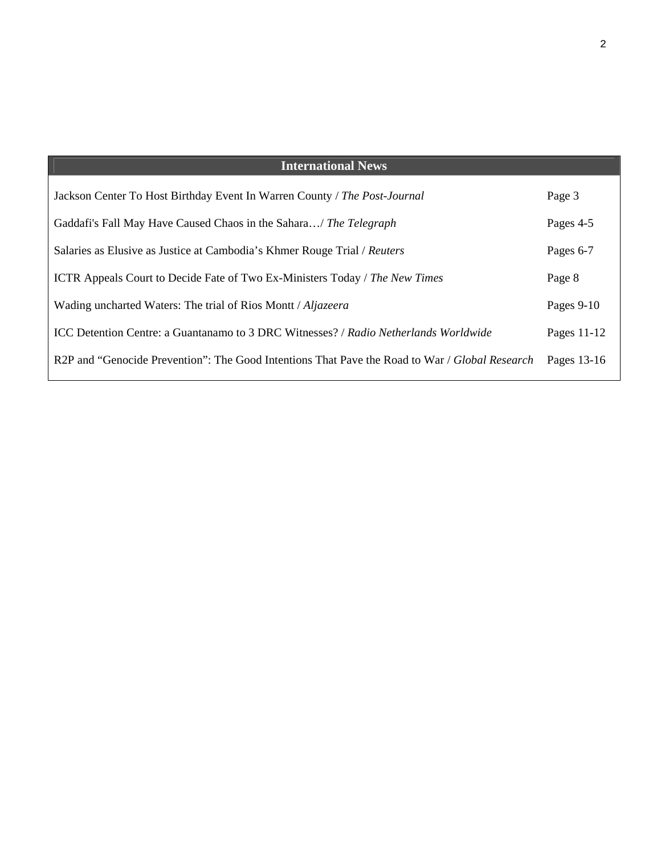| <b>International News</b>                                                                      |              |
|------------------------------------------------------------------------------------------------|--------------|
| Jackson Center To Host Birthday Event In Warren County / The Post-Journal                      | Page 3       |
| Gaddafi's Fall May Have Caused Chaos in the Sahara/ The Telegraph                              | Pages 4-5    |
| Salaries as Elusive as Justice at Cambodia's Khmer Rouge Trial / Reuters                       | Pages 6-7    |
| <b>ICTR</b> Appeals Court to Decide Fate of Two Ex-Ministers Today / The New Times             | Page 8       |
| Wading uncharted Waters: The trial of Rios Montt / Aljazeera                                   | Pages $9-10$ |
| <b>ICC</b> Detention Centre: a Guantanamo to 3 DRC Witnesses? / Radio Netherlands Worldwide    | Pages 11-12  |
| R2P and "Genocide Prevention": The Good Intentions That Pave the Road to War / Global Research | Pages 13-16  |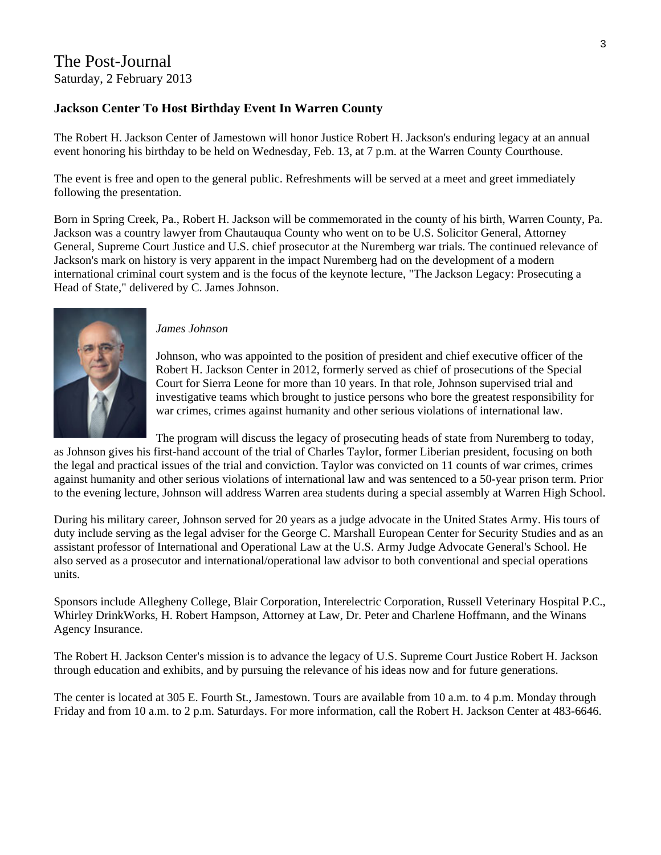# The Post-Journal Saturday, 2 February 2013

## **Jackson Center To Host Birthday Event In Warren County**

The Robert H. Jackson Center of Jamestown will honor Justice Robert H. Jackson's enduring legacy at an annual event honoring his birthday to be held on Wednesday, Feb. 13, at 7 p.m. at the Warren County Courthouse.

The event is free and open to the general public. Refreshments will be served at a meet and greet immediately following the presentation.

Born in Spring Creek, Pa., Robert H. Jackson will be commemorated in the county of his birth, Warren County, Pa. Jackson was a country lawyer from Chautauqua County who went on to be U.S. Solicitor General, Attorney General, Supreme Court Justice and U.S. chief prosecutor at the Nuremberg war trials. The continued relevance of Jackson's mark on history is very apparent in the impact Nuremberg had on the development of a modern international criminal court system and is the focus of the keynote lecture, "The Jackson Legacy: Prosecuting a Head of State," delivered by C. James Johnson.



#### *James Johnson*

Johnson, who was appointed to the position of president and chief executive officer of the Robert H. Jackson Center in 2012, formerly served as chief of prosecutions of the Special Court for Sierra Leone for more than 10 years. In that role, Johnson supervised trial and investigative teams which brought to justice persons who bore the greatest responsibility for war crimes, crimes against humanity and other serious violations of international law.

The program will discuss the legacy of prosecuting heads of state from Nuremberg to today,

as Johnson gives his first-hand account of the trial of Charles Taylor, former Liberian president, focusing on both the legal and practical issues of the trial and conviction. Taylor was convicted on 11 counts of war crimes, crimes against humanity and other serious violations of international law and was sentenced to a 50-year prison term. Prior to the evening lecture, Johnson will address Warren area students during a special assembly at Warren High School.

During his military career, Johnson served for 20 years as a judge advocate in the United States Army. His tours of duty include serving as the legal adviser for the George C. Marshall European Center for Security Studies and as an assistant professor of International and Operational Law at the U.S. Army Judge Advocate General's School. He also served as a prosecutor and international/operational law advisor to both conventional and special operations units.

Sponsors include Allegheny College, Blair Corporation, Interelectric Corporation, Russell Veterinary Hospital P.C., Whirley DrinkWorks, H. Robert Hampson, Attorney at Law, Dr. Peter and Charlene Hoffmann, and the Winans Agency Insurance.

The Robert H. Jackson Center's mission is to advance the legacy of U.S. Supreme Court Justice Robert H. Jackson through education and exhibits, and by pursuing the relevance of his ideas now and for future generations.

The center is located at 305 E. Fourth St., Jamestown. Tours are available from 10 a.m. to 4 p.m. Monday through Friday and from 10 a.m. to 2 p.m. Saturdays. For more information, call the Robert H. Jackson Center at 483-6646.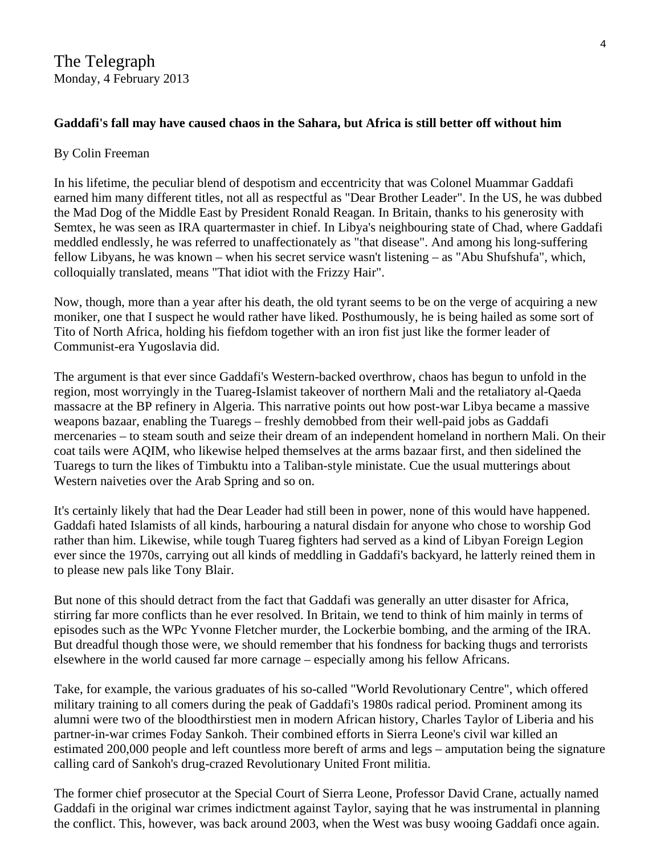# **Gaddafi's fall may have caused chaos in the Sahara, but Africa is still better off without him**

## By Colin Freeman

In his lifetime, the peculiar blend of despotism and eccentricity that was Colonel Muammar Gaddafi earned him many different titles, not all as respectful as "Dear Brother Leader". In the US, he was dubbed the Mad Dog of the Middle East by President Ronald Reagan. In Britain, thanks to his generosity with Semtex, he was seen as IRA quartermaster in chief. In Libya's neighbouring state of Chad, where Gaddafi meddled endlessly, he was referred to unaffectionately as "that disease". And among his long-suffering fellow Libyans, he was known – when his secret service wasn't listening – as "Abu Shufshufa", which, colloquially translated, means "That idiot with the Frizzy Hair".

Now, though, more than a year after his death, the old tyrant seems to be on the verge of acquiring a new moniker, one that I suspect he would rather have liked. Posthumously, he is being hailed as some sort of Tito of North Africa, holding his fiefdom together with an iron fist just like the former leader of Communist-era Yugoslavia did.

The argument is that ever since Gaddafi's Western-backed overthrow, chaos has begun to unfold in the region, most worryingly in the Tuareg-Islamist takeover of northern Mali and the retaliatory al-Qaeda massacre at the BP refinery in Algeria. This narrative points out how post-war Libya became a massive weapons bazaar, enabling the Tuaregs – freshly demobbed from their well-paid jobs as Gaddafi mercenaries – to steam south and seize their dream of an independent homeland in northern Mali. On their coat tails were AQIM, who likewise helped themselves at the arms bazaar first, and then sidelined the Tuaregs to turn the likes of Timbuktu into a Taliban-style ministate. Cue the usual mutterings about Western naiveties over the Arab Spring and so on.

It's certainly likely that had the Dear Leader had still been in power, none of this would have happened. Gaddafi hated Islamists of all kinds, harbouring a natural disdain for anyone who chose to worship God rather than him. Likewise, while tough Tuareg fighters had served as a kind of Libyan Foreign Legion ever since the 1970s, carrying out all kinds of meddling in Gaddafi's backyard, he latterly reined them in to please new pals like Tony Blair.

But none of this should detract from the fact that Gaddafi was generally an utter disaster for Africa, stirring far more conflicts than he ever resolved. In Britain, we tend to think of him mainly in terms of episodes such as the WPc Yvonne Fletcher murder, the Lockerbie bombing, and the arming of the IRA. But dreadful though those were, we should remember that his fondness for backing thugs and terrorists elsewhere in the world caused far more carnage – especially among his fellow Africans.

Take, for example, the various graduates of his so-called "World Revolutionary Centre", which offered military training to all comers during the peak of Gaddafi's 1980s radical period. Prominent among its alumni were two of the bloodthirstiest men in modern African history, Charles Taylor of Liberia and his partner-in-war crimes Foday Sankoh. Their combined efforts in Sierra Leone's civil war killed an estimated 200,000 people and left countless more bereft of arms and legs – amputation being the signature calling card of Sankoh's drug-crazed Revolutionary United Front militia.

The former chief prosecutor at the Special Court of Sierra Leone, Professor David Crane, actually named Gaddafi in the original war crimes indictment against Taylor, saying that he was instrumental in planning the conflict. This, however, was back around 2003, when the West was busy wooing Gaddafi once again.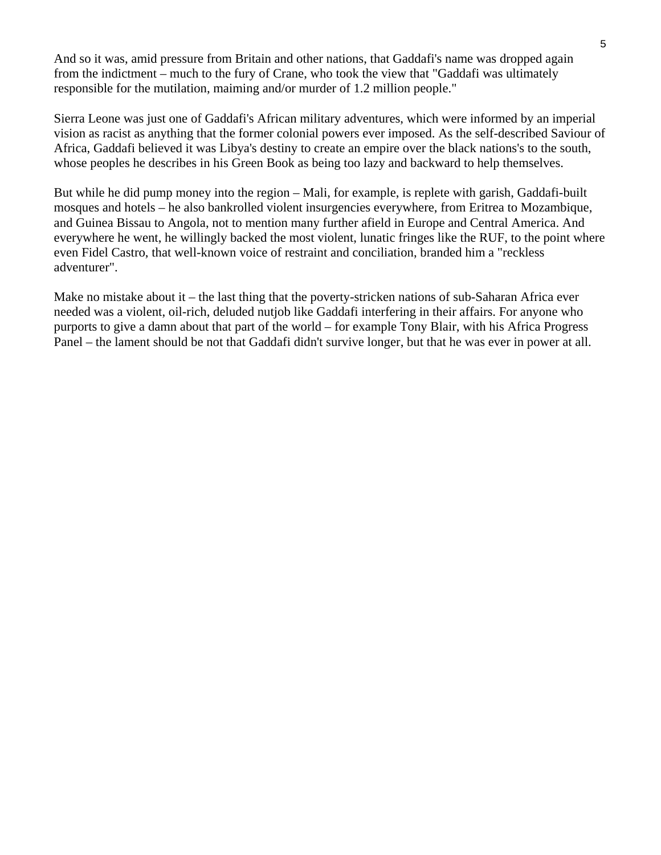And so it was, amid pressure from Britain and other nations, that Gaddafi's name was dropped again from the indictment – much to the fury of Crane, who took the view that "Gaddafi was ultimately responsible for the mutilation, maiming and/or murder of 1.2 million people."

Sierra Leone was just one of Gaddafi's African military adventures, which were informed by an imperial vision as racist as anything that the former colonial powers ever imposed. As the self-described Saviour of Africa, Gaddafi believed it was Libya's destiny to create an empire over the black nations's to the south, whose peoples he describes in his Green Book as being too lazy and backward to help themselves.

But while he did pump money into the region – Mali, for example, is replete with garish, Gaddafi-built mosques and hotels – he also bankrolled violent insurgencies everywhere, from Eritrea to Mozambique, and Guinea Bissau to Angola, not to mention many further afield in Europe and Central America. And everywhere he went, he willingly backed the most violent, lunatic fringes like the RUF, to the point where even Fidel Castro, that well-known voice of restraint and conciliation, branded him a "reckless adventurer".

Make no mistake about it – the last thing that the poverty-stricken nations of sub-Saharan Africa ever needed was a violent, oil-rich, deluded nutjob like Gaddafi interfering in their affairs. For anyone who purports to give a damn about that part of the world – for example Tony Blair, with his Africa Progress Panel – the lament should be not that Gaddafi didn't survive longer, but that he was ever in power at all.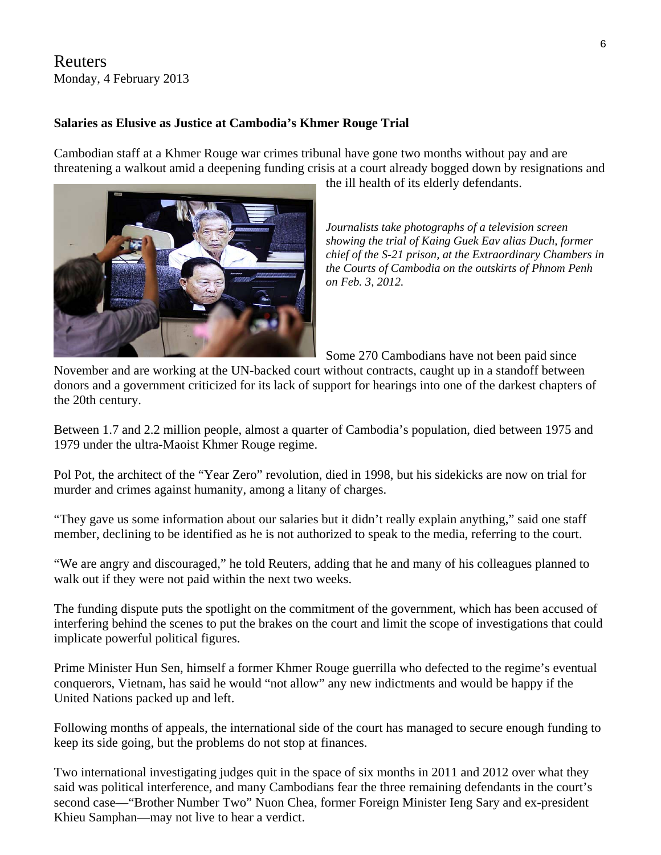## Reuters Monday, 4 February 2013

# **Salaries as Elusive as Justice at Cambodia's Khmer Rouge Trial**

Cambodian staff at a Khmer Rouge war crimes tribunal have gone two months without pay and are threatening a walkout amid a deepening funding crisis at a court already bogged down by resignations and



the ill health of its elderly defendants.

*Journalists take photographs of a television screen showing the trial of Kaing Guek Eav alias Duch, former chief of the S-21 prison, at the Extraordinary Chambers in the Courts of Cambodia on the outskirts of Phnom Penh on Feb. 3, 2012.* 

Some 270 Cambodians have not been paid since

November and are working at the UN-backed court without contracts, caught up in a standoff between donors and a government criticized for its lack of support for hearings into one of the darkest chapters of the 20th century.

Between 1.7 and 2.2 million people, almost a quarter of Cambodia's population, died between 1975 and 1979 under the ultra-Maoist Khmer Rouge regime.

Pol Pot, the architect of the "Year Zero" revolution, died in 1998, but his sidekicks are now on trial for murder and crimes against humanity, among a litany of charges.

"They gave us some information about our salaries but it didn't really explain anything," said one staff member, declining to be identified as he is not authorized to speak to the media, referring to the court.

"We are angry and discouraged," he told Reuters, adding that he and many of his colleagues planned to walk out if they were not paid within the next two weeks.

The funding dispute puts the spotlight on the commitment of the government, which has been accused of interfering behind the scenes to put the brakes on the court and limit the scope of investigations that could implicate powerful political figures.

Prime Minister Hun Sen, himself a former Khmer Rouge guerrilla who defected to the regime's eventual conquerors, Vietnam, has said he would "not allow" any new indictments and would be happy if the United Nations packed up and left.

Following months of appeals, the international side of the court has managed to secure enough funding to keep its side going, but the problems do not stop at finances.

Two international investigating judges quit in the space of six months in 2011 and 2012 over what they said was political interference, and many Cambodians fear the three remaining defendants in the court's second case—"Brother Number Two" Nuon Chea, former Foreign Minister Ieng Sary and ex-president Khieu Samphan—may not live to hear a verdict.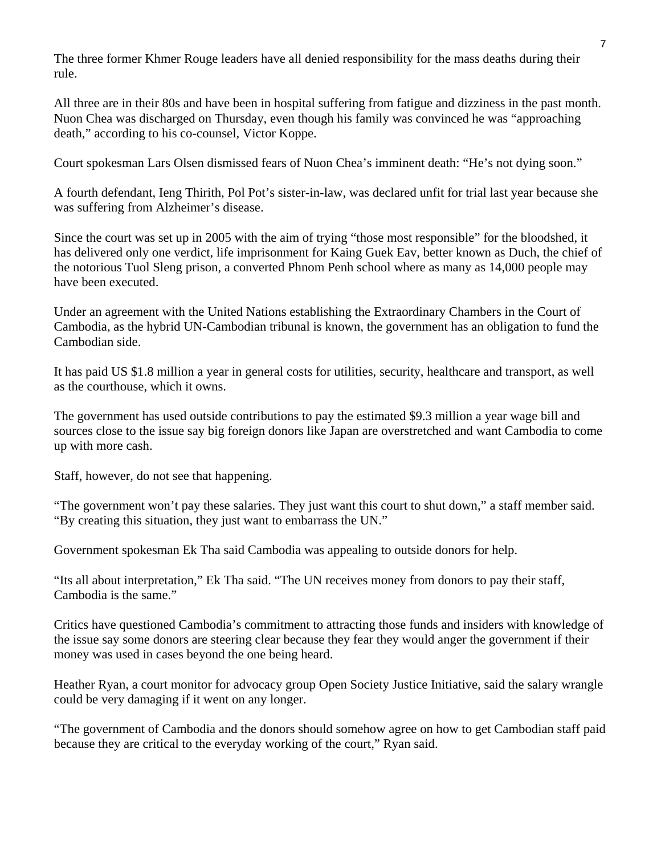The three former Khmer Rouge leaders have all denied responsibility for the mass deaths during their rule.

All three are in their 80s and have been in hospital suffering from fatigue and dizziness in the past month. Nuon Chea was discharged on Thursday, even though his family was convinced he was "approaching death," according to his co-counsel, Victor Koppe.

Court spokesman Lars Olsen dismissed fears of Nuon Chea's imminent death: "He's not dying soon."

A fourth defendant, Ieng Thirith, Pol Pot's sister-in-law, was declared unfit for trial last year because she was suffering from Alzheimer's disease.

Since the court was set up in 2005 with the aim of trying "those most responsible" for the bloodshed, it has delivered only one verdict, life imprisonment for Kaing Guek Eav, better known as Duch, the chief of the notorious Tuol Sleng prison, a converted Phnom Penh school where as many as 14,000 people may have been executed.

Under an agreement with the United Nations establishing the Extraordinary Chambers in the Court of Cambodia, as the hybrid UN-Cambodian tribunal is known, the government has an obligation to fund the Cambodian side.

It has paid US \$1.8 million a year in general costs for utilities, security, healthcare and transport, as well as the courthouse, which it owns.

The government has used outside contributions to pay the estimated \$9.3 million a year wage bill and sources close to the issue say big foreign donors like Japan are overstretched and want Cambodia to come up with more cash.

Staff, however, do not see that happening.

"The government won't pay these salaries. They just want this court to shut down," a staff member said. "By creating this situation, they just want to embarrass the UN."

Government spokesman Ek Tha said Cambodia was appealing to outside donors for help.

"Its all about interpretation," Ek Tha said. "The UN receives money from donors to pay their staff, Cambodia is the same."

Critics have questioned Cambodia's commitment to attracting those funds and insiders with knowledge of the issue say some donors are steering clear because they fear they would anger the government if their money was used in cases beyond the one being heard.

Heather Ryan, a court monitor for advocacy group Open Society Justice Initiative, said the salary wrangle could be very damaging if it went on any longer.

"The government of Cambodia and the donors should somehow agree on how to get Cambodian staff paid because they are critical to the everyday working of the court," Ryan said.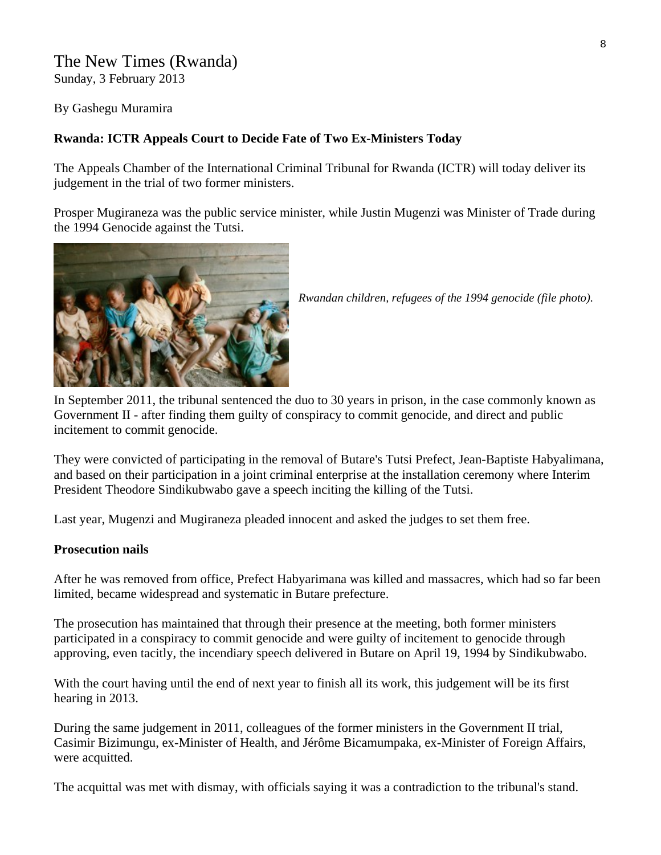# The New Times (Rwanda) Sunday, 3 February 2013

By Gashegu Muramira

## **Rwanda: ICTR Appeals Court to Decide Fate of Two Ex-Ministers Today**

The Appeals Chamber of the International Criminal Tribunal for Rwanda (ICTR) will today deliver its judgement in the trial of two former ministers.

Prosper Mugiraneza was the public service minister, while Justin Mugenzi was Minister of Trade during the 1994 Genocide against the Tutsi.



*Rwandan children, refugees of the 1994 genocide (file photo).* 

In September 2011, the tribunal sentenced the duo to 30 years in prison, in the case commonly known as Government II - after finding them guilty of conspiracy to commit genocide, and direct and public incitement to commit genocide.

They were convicted of participating in the removal of Butare's Tutsi Prefect, Jean-Baptiste Habyalimana, and based on their participation in a joint criminal enterprise at the installation ceremony where Interim President Theodore Sindikubwabo gave a speech inciting the killing of the Tutsi.

Last year, Mugenzi and Mugiraneza pleaded innocent and asked the judges to set them free.

#### **Prosecution nails**

After he was removed from office, Prefect Habyarimana was killed and massacres, which had so far been limited, became widespread and systematic in Butare prefecture.

The prosecution has maintained that through their presence at the meeting, both former ministers participated in a conspiracy to commit genocide and were guilty of incitement to genocide through approving, even tacitly, the incendiary speech delivered in Butare on April 19, 1994 by Sindikubwabo.

With the court having until the end of next year to finish all its work, this judgement will be its first hearing in 2013.

During the same judgement in 2011, colleagues of the former ministers in the Government II trial, Casimir Bizimungu, ex-Minister of Health, and Jérôme Bicamumpaka, ex-Minister of Foreign Affairs, were acquitted.

The acquittal was met with dismay, with officials saying it was a contradiction to the tribunal's stand.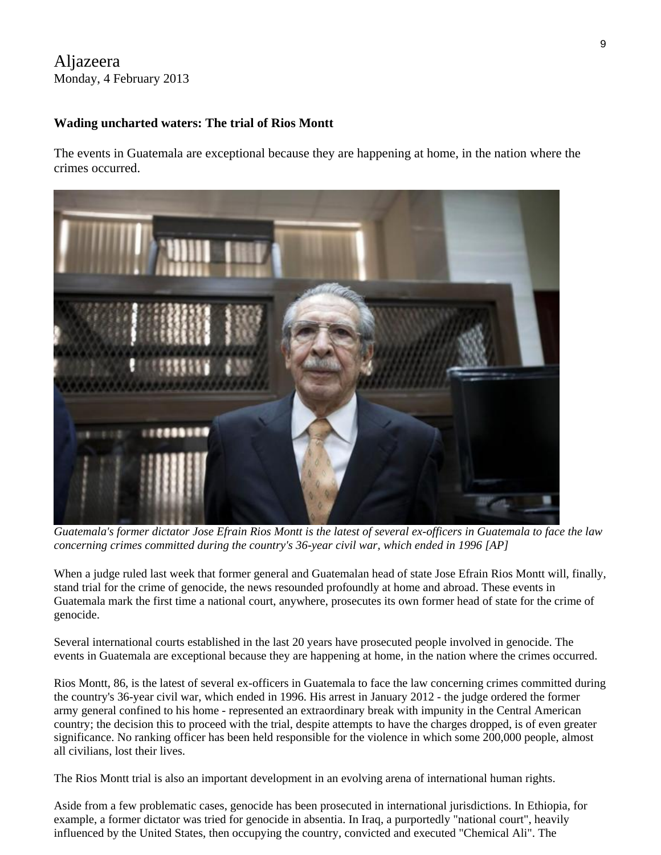# Aljazeera Monday, 4 February 2013

# **Wading uncharted waters: The trial of Rios Montt**

The events in Guatemala are exceptional because they are happening at home, in the nation where the crimes occurred.



*Guatemala's former dictator Jose Efrain Rios Montt is the latest of several ex-officers in Guatemala to face the law concerning crimes committed during the country's 36-year civil war, which ended in 1996 [AP]* 

When a judge ruled last week that former general and Guatemalan head of state Jose Efrain Rios Montt will, finally, stand trial for the crime of genocide, the news resounded profoundly at home and abroad. These events in Guatemala mark the first time a national court, anywhere, prosecutes its own former head of state for the crime of genocide.

Several international courts established in the last 20 years have prosecuted people involved in genocide. The events in Guatemala are exceptional because they are happening at home, in the nation where the crimes occurred.

Rios Montt, 86, is the latest of several ex-officers in Guatemala to face the law concerning crimes committed during the country's 36-year civil war, which ended in 1996. His arrest in January 2012 - the judge ordered the former army general confined to his home - represented an extraordinary break with impunity in the Central American country; the decision this to proceed with the trial, despite attempts to have the charges dropped, is of even greater significance. No ranking officer has been held responsible for the violence in which some 200,000 people, almost all civilians, lost their lives.

The Rios Montt trial is also an important development in an evolving arena of international human rights.

Aside from a few problematic cases, genocide has been prosecuted in international jurisdictions. In Ethiopia, for example, a former dictator was tried for genocide in absentia. In Iraq, a purportedly "national court", heavily influenced by the United States, then occupying the country, convicted and executed "Chemical Ali". The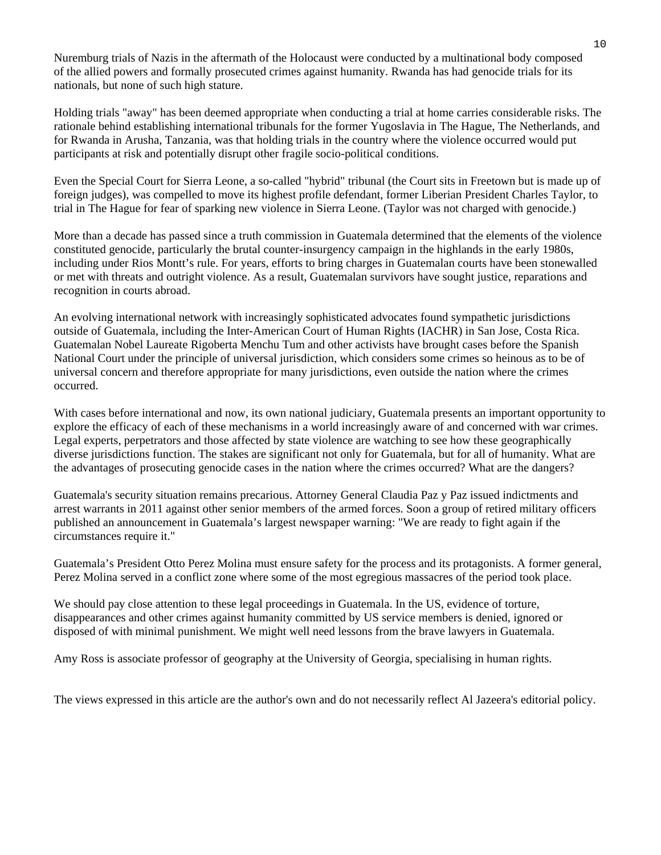Nuremburg trials of Nazis in the aftermath of the Holocaust were conducted by a multinational body composed of the allied powers and formally prosecuted crimes against humanity. Rwanda has had genocide trials for its nationals, but none of such high stature.

Holding trials "away" has been deemed appropriate when conducting a trial at home carries considerable risks. The rationale behind establishing international tribunals for the former Yugoslavia in The Hague, The Netherlands, and for Rwanda in Arusha, Tanzania, was that holding trials in the country where the violence occurred would put participants at risk and potentially disrupt other fragile socio-political conditions.

Even the Special Court for Sierra Leone, a so-called "hybrid" tribunal (the Court sits in Freetown but is made up of foreign judges), was compelled to move its highest profile defendant, former Liberian President Charles Taylor, to trial in The Hague for fear of sparking new violence in Sierra Leone. (Taylor was not charged with genocide.)

More than a decade has passed since a truth commission in Guatemala determined that the elements of the violence constituted genocide, particularly the brutal counter-insurgency campaign in the highlands in the early 1980s, including under Rios Montt's rule. For years, efforts to bring charges in Guatemalan courts have been stonewalled or met with threats and outright violence. As a result, Guatemalan survivors have sought justice, reparations and recognition in courts abroad.

An evolving international network with increasingly sophisticated advocates found sympathetic jurisdictions outside of Guatemala, including the Inter-American Court of Human Rights (IACHR) in San Jose, Costa Rica. Guatemalan Nobel Laureate Rigoberta Menchu Tum and other activists have brought cases before the Spanish National Court under the principle of universal jurisdiction, which considers some crimes so heinous as to be of universal concern and therefore appropriate for many jurisdictions, even outside the nation where the crimes occurred.

With cases before international and now, its own national judiciary, Guatemala presents an important opportunity to explore the efficacy of each of these mechanisms in a world increasingly aware of and concerned with war crimes. Legal experts, perpetrators and those affected by state violence are watching to see how these geographically diverse jurisdictions function. The stakes are significant not only for Guatemala, but for all of humanity. What are the advantages of prosecuting genocide cases in the nation where the crimes occurred? What are the dangers?

Guatemala's security situation remains precarious. Attorney General Claudia Paz y Paz issued indictments and arrest warrants in 2011 against other senior members of the armed forces. Soon a group of retired military officers published an announcement in Guatemala's largest newspaper warning: "We are ready to fight again if the circumstances require it."

Guatemala's President Otto Perez Molina must ensure safety for the process and its protagonists. A former general, Perez Molina served in a conflict zone where some of the most egregious massacres of the period took place.

We should pay close attention to these legal proceedings in Guatemala. In the US, evidence of torture, disappearances and other crimes against humanity committed by US service members is denied, ignored or disposed of with minimal punishment. We might well need lessons from the brave lawyers in Guatemala.

Amy Ross is associate professor of geography at the University of Georgia, specialising in human rights.

The views expressed in this article are the author's own and do not necessarily reflect Al Jazeera's editorial policy.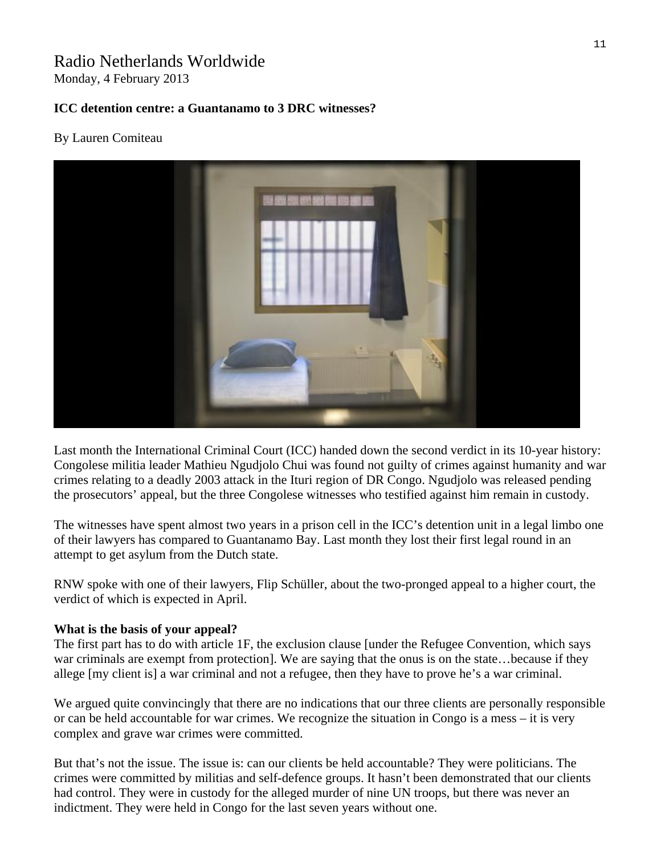# Radio Netherlands Worldwide

Monday, 4 February 2013

## **ICC detention centre: a Guantanamo to 3 DRC witnesses?**

#### By Lauren Comiteau



Last month the International Criminal Court (ICC) handed down the second verdict in its 10-year history: Congolese militia leader Mathieu Ngudjolo Chui was found not guilty of crimes against humanity and war crimes relating to a deadly 2003 attack in the Ituri region of DR Congo. Ngudjolo was released pending the prosecutors' appeal, but the three Congolese witnesses who testified against him remain in custody.

The witnesses have spent almost two years in a prison cell in the ICC's detention unit in a legal limbo one of their lawyers has compared to Guantanamo Bay. Last month they lost their first legal round in an attempt to get asylum from the Dutch state.

RNW spoke with one of their lawyers, Flip Schüller, about the two-pronged appeal to a higher court, the verdict of which is expected in April.

#### **What is the basis of your appeal?**

The first part has to do with article 1F, the exclusion clause [under the Refugee Convention, which says war criminals are exempt from protection]. We are saying that the onus is on the state...because if they allege [my client is] a war criminal and not a refugee, then they have to prove he's a war criminal.

We argued quite convincingly that there are no indications that our three clients are personally responsible or can be held accountable for war crimes. We recognize the situation in Congo is a mess – it is very complex and grave war crimes were committed.

But that's not the issue. The issue is: can our clients be held accountable? They were politicians. The crimes were committed by militias and self-defence groups. It hasn't been demonstrated that our clients had control. They were in custody for the alleged murder of nine UN troops, but there was never an indictment. They were held in Congo for the last seven years without one.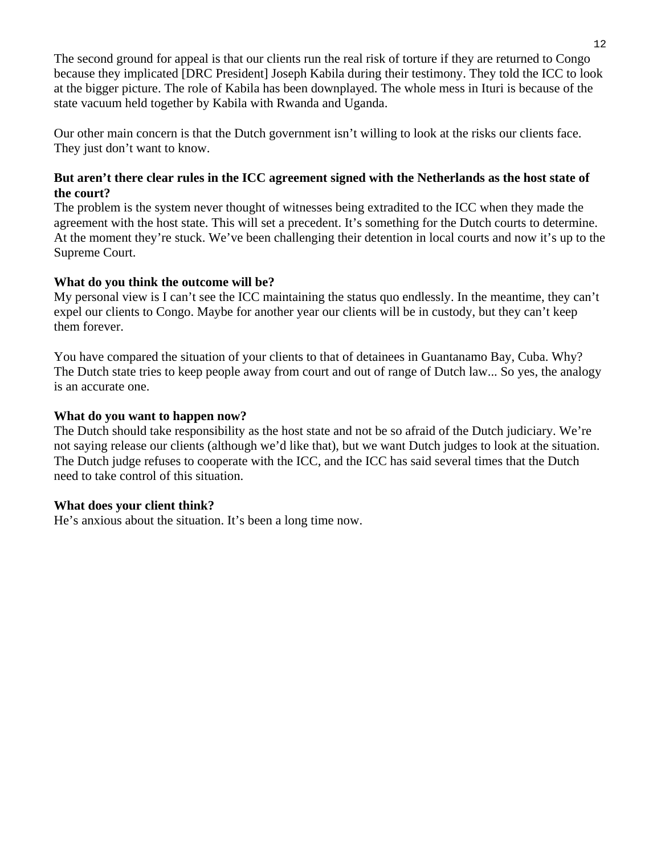The second ground for appeal is that our clients run the real risk of torture if they are returned to Congo because they implicated [DRC President] Joseph Kabila during their testimony. They told the ICC to look at the bigger picture. The role of Kabila has been downplayed. The whole mess in Ituri is because of the state vacuum held together by Kabila with Rwanda and Uganda.

Our other main concern is that the Dutch government isn't willing to look at the risks our clients face. They just don't want to know.

# **But aren't there clear rules in the ICC agreement signed with the Netherlands as the host state of the court?**

The problem is the system never thought of witnesses being extradited to the ICC when they made the agreement with the host state. This will set a precedent. It's something for the Dutch courts to determine. At the moment they're stuck. We've been challenging their detention in local courts and now it's up to the Supreme Court.

#### **What do you think the outcome will be?**

My personal view is I can't see the ICC maintaining the status quo endlessly. In the meantime, they can't expel our clients to Congo. Maybe for another year our clients will be in custody, but they can't keep them forever.

You have compared the situation of your clients to that of detainees in Guantanamo Bay, Cuba. Why? The Dutch state tries to keep people away from court and out of range of Dutch law... So yes, the analogy is an accurate one.

#### **What do you want to happen now?**

The Dutch should take responsibility as the host state and not be so afraid of the Dutch judiciary. We're not saying release our clients (although we'd like that), but we want Dutch judges to look at the situation. The Dutch judge refuses to cooperate with the ICC, and the ICC has said several times that the Dutch need to take control of this situation.

# **What does your client think?**

He's anxious about the situation. It's been a long time now.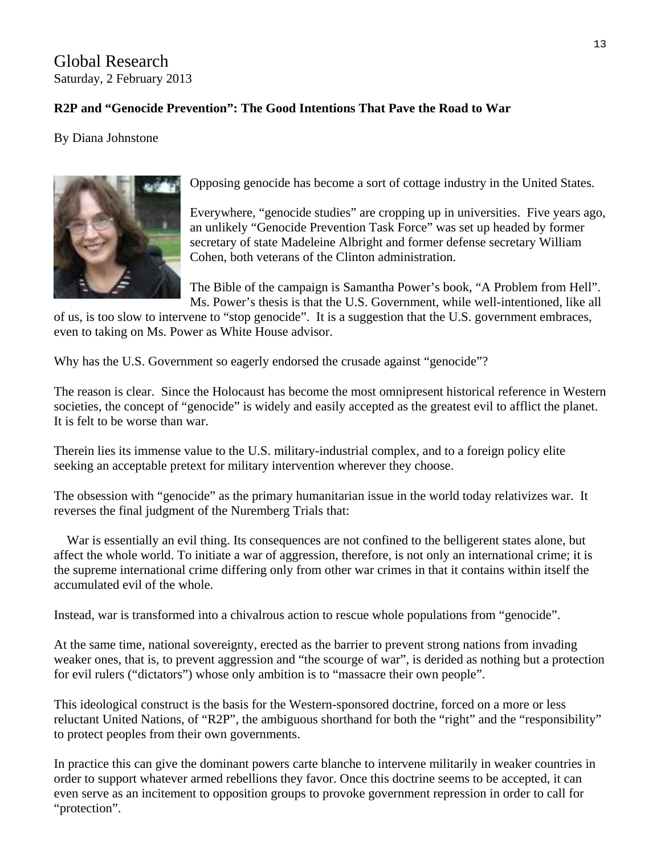# Global Research Saturday, 2 February 2013

# **R2P and "Genocide Prevention": The Good Intentions That Pave the Road to War**

#### By Diana Johnstone



Opposing genocide has become a sort of cottage industry in the United States.

Everywhere, "genocide studies" are cropping up in universities. Five years ago, an unlikely "Genocide Prevention Task Force" was set up headed by former secretary of state Madeleine Albright and former defense secretary William Cohen, both veterans of the Clinton administration.

The Bible of the campaign is Samantha Power's book, "A Problem from Hell". Ms. Power's thesis is that the U.S. Government, while well-intentioned, like all

of us, is too slow to intervene to "stop genocide". It is a suggestion that the U.S. government embraces, even to taking on Ms. Power as White House advisor.

Why has the U.S. Government so eagerly endorsed the crusade against "genocide"?

The reason is clear. Since the Holocaust has become the most omnipresent historical reference in Western societies, the concept of "genocide" is widely and easily accepted as the greatest evil to afflict the planet. It is felt to be worse than war.

Therein lies its immense value to the U.S. military-industrial complex, and to a foreign policy elite seeking an acceptable pretext for military intervention wherever they choose.

The obsession with "genocide" as the primary humanitarian issue in the world today relativizes war. It reverses the final judgment of the Nuremberg Trials that:

 War is essentially an evil thing. Its consequences are not confined to the belligerent states alone, but affect the whole world. To initiate a war of aggression, therefore, is not only an international crime; it is the supreme international crime differing only from other war crimes in that it contains within itself the accumulated evil of the whole.

Instead, war is transformed into a chivalrous action to rescue whole populations from "genocide".

At the same time, national sovereignty, erected as the barrier to prevent strong nations from invading weaker ones, that is, to prevent aggression and "the scourge of war", is derided as nothing but a protection for evil rulers ("dictators") whose only ambition is to "massacre their own people".

This ideological construct is the basis for the Western-sponsored doctrine, forced on a more or less reluctant United Nations, of "R2P", the ambiguous shorthand for both the "right" and the "responsibility" to protect peoples from their own governments.

In practice this can give the dominant powers carte blanche to intervene militarily in weaker countries in order to support whatever armed rebellions they favor. Once this doctrine seems to be accepted, it can even serve as an incitement to opposition groups to provoke government repression in order to call for "protection".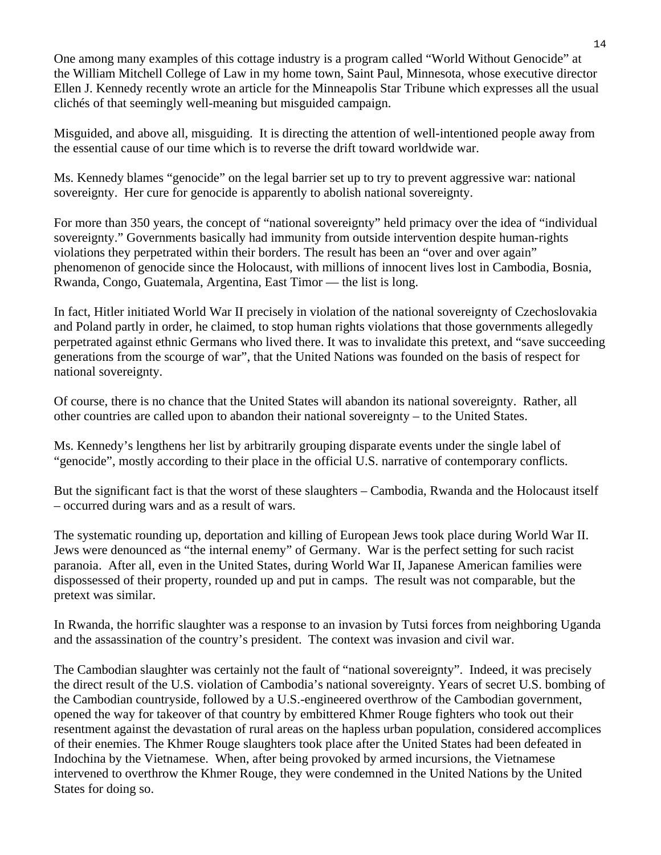One among many examples of this cottage industry is a program called "World Without Genocide" at the William Mitchell College of Law in my home town, Saint Paul, Minnesota, whose executive director Ellen J. Kennedy recently wrote an article for the Minneapolis Star Tribune which expresses all the usual clichés of that seemingly well-meaning but misguided campaign.

Misguided, and above all, misguiding. It is directing the attention of well-intentioned people away from the essential cause of our time which is to reverse the drift toward worldwide war.

Ms. Kennedy blames "genocide" on the legal barrier set up to try to prevent aggressive war: national sovereignty. Her cure for genocide is apparently to abolish national sovereignty.

For more than 350 years, the concept of "national sovereignty" held primacy over the idea of "individual sovereignty." Governments basically had immunity from outside intervention despite human-rights violations they perpetrated within their borders. The result has been an "over and over again" phenomenon of genocide since the Holocaust, with millions of innocent lives lost in Cambodia, Bosnia, Rwanda, Congo, Guatemala, Argentina, East Timor — the list is long.

In fact, Hitler initiated World War II precisely in violation of the national sovereignty of Czechoslovakia and Poland partly in order, he claimed, to stop human rights violations that those governments allegedly perpetrated against ethnic Germans who lived there. It was to invalidate this pretext, and "save succeeding generations from the scourge of war", that the United Nations was founded on the basis of respect for national sovereignty.

Of course, there is no chance that the United States will abandon its national sovereignty. Rather, all other countries are called upon to abandon their national sovereignty – to the United States.

Ms. Kennedy's lengthens her list by arbitrarily grouping disparate events under the single label of "genocide", mostly according to their place in the official U.S. narrative of contemporary conflicts.

But the significant fact is that the worst of these slaughters – Cambodia, Rwanda and the Holocaust itself – occurred during wars and as a result of wars.

The systematic rounding up, deportation and killing of European Jews took place during World War II. Jews were denounced as "the internal enemy" of Germany. War is the perfect setting for such racist paranoia. After all, even in the United States, during World War II, Japanese American families were dispossessed of their property, rounded up and put in camps. The result was not comparable, but the pretext was similar.

In Rwanda, the horrific slaughter was a response to an invasion by Tutsi forces from neighboring Uganda and the assassination of the country's president. The context was invasion and civil war.

The Cambodian slaughter was certainly not the fault of "national sovereignty". Indeed, it was precisely the direct result of the U.S. violation of Cambodia's national sovereignty. Years of secret U.S. bombing of the Cambodian countryside, followed by a U.S.-engineered overthrow of the Cambodian government, opened the way for takeover of that country by embittered Khmer Rouge fighters who took out their resentment against the devastation of rural areas on the hapless urban population, considered accomplices of their enemies. The Khmer Rouge slaughters took place after the United States had been defeated in Indochina by the Vietnamese. When, after being provoked by armed incursions, the Vietnamese intervened to overthrow the Khmer Rouge, they were condemned in the United Nations by the United States for doing so.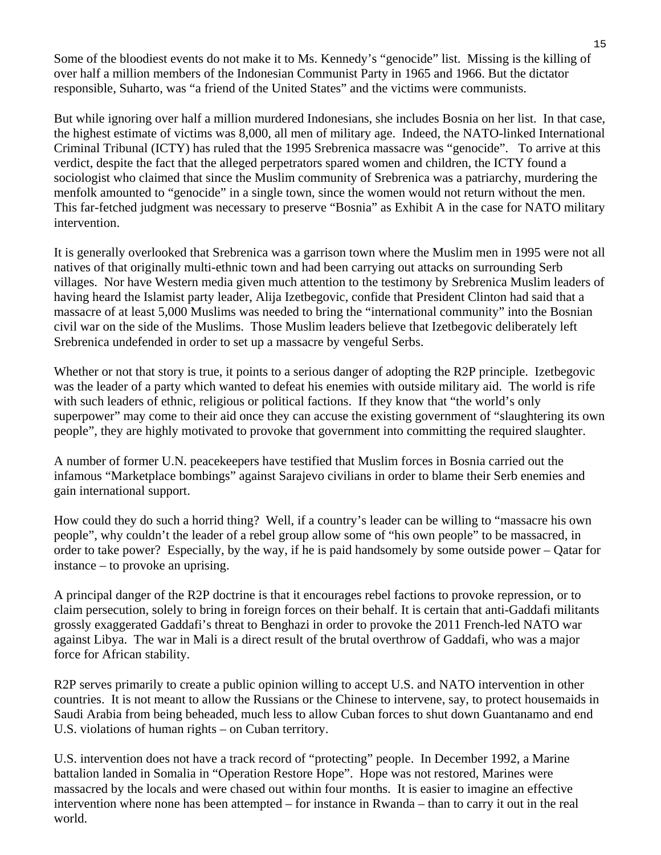Some of the bloodiest events do not make it to Ms. Kennedy's "genocide" list. Missing is the killing of over half a million members of the Indonesian Communist Party in 1965 and 1966. But the dictator responsible, Suharto, was "a friend of the United States" and the victims were communists.

But while ignoring over half a million murdered Indonesians, she includes Bosnia on her list. In that case, the highest estimate of victims was 8,000, all men of military age. Indeed, the NATO-linked International Criminal Tribunal (ICTY) has ruled that the 1995 Srebrenica massacre was "genocide". To arrive at this verdict, despite the fact that the alleged perpetrators spared women and children, the ICTY found a sociologist who claimed that since the Muslim community of Srebrenica was a patriarchy, murdering the menfolk amounted to "genocide" in a single town, since the women would not return without the men. This far-fetched judgment was necessary to preserve "Bosnia" as Exhibit A in the case for NATO military intervention.

It is generally overlooked that Srebrenica was a garrison town where the Muslim men in 1995 were not all natives of that originally multi-ethnic town and had been carrying out attacks on surrounding Serb villages. Nor have Western media given much attention to the testimony by Srebrenica Muslim leaders of having heard the Islamist party leader, Alija Izetbegovic, confide that President Clinton had said that a massacre of at least 5,000 Muslims was needed to bring the "international community" into the Bosnian civil war on the side of the Muslims. Those Muslim leaders believe that Izetbegovic deliberately left Srebrenica undefended in order to set up a massacre by vengeful Serbs.

Whether or not that story is true, it points to a serious danger of adopting the R2P principle. Izetbegovic was the leader of a party which wanted to defeat his enemies with outside military aid. The world is rife with such leaders of ethnic, religious or political factions. If they know that "the world's only superpower" may come to their aid once they can accuse the existing government of "slaughtering its own people", they are highly motivated to provoke that government into committing the required slaughter.

A number of former U.N. peacekeepers have testified that Muslim forces in Bosnia carried out the infamous "Marketplace bombings" against Sarajevo civilians in order to blame their Serb enemies and gain international support.

How could they do such a horrid thing? Well, if a country's leader can be willing to "massacre his own people", why couldn't the leader of a rebel group allow some of "his own people" to be massacred, in order to take power? Especially, by the way, if he is paid handsomely by some outside power – Qatar for instance – to provoke an uprising.

A principal danger of the R2P doctrine is that it encourages rebel factions to provoke repression, or to claim persecution, solely to bring in foreign forces on their behalf. It is certain that anti-Gaddafi militants grossly exaggerated Gaddafi's threat to Benghazi in order to provoke the 2011 French-led NATO war against Libya. The war in Mali is a direct result of the brutal overthrow of Gaddafi, who was a major force for African stability.

R2P serves primarily to create a public opinion willing to accept U.S. and NATO intervention in other countries. It is not meant to allow the Russians or the Chinese to intervene, say, to protect housemaids in Saudi Arabia from being beheaded, much less to allow Cuban forces to shut down Guantanamo and end U.S. violations of human rights – on Cuban territory.

U.S. intervention does not have a track record of "protecting" people. In December 1992, a Marine battalion landed in Somalia in "Operation Restore Hope". Hope was not restored, Marines were massacred by the locals and were chased out within four months. It is easier to imagine an effective intervention where none has been attempted – for instance in Rwanda – than to carry it out in the real world.